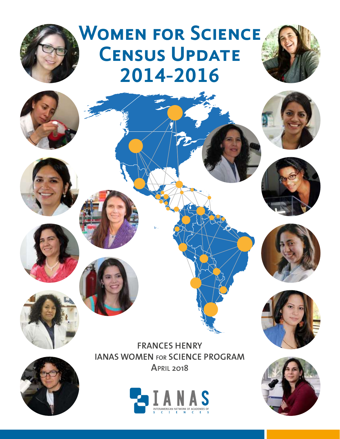# **Women for Science CENSUS UPDATE 2014-2016**











**FRANCES HENRY IANAS WOMEN for SCIENCE PROGRAM April 2018**



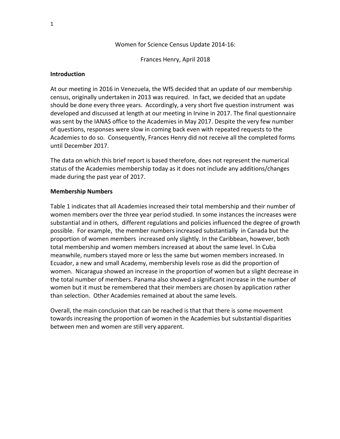#### Women for Science Census Update 2014-16:

Frances Henry, April 2018

#### **Introduction**

At our meeting in 2016 in Venezuela, the WfS decided that an update of our membership census, originally undertaken in 2013 was required. In fact, we decided that an update should be done every three years. Accordingly, a very short five question instrument was developed and discussed at length at our meeting in Irvine in 2017. The final questionnaire was sent by the IANAS office to the Academies in May 2017. Despite the very few number of questions, responses were slow in coming back even with repeated requests to the Academies to do so. Consequently, Frances Henry did not receive all the completed forms until December 2017. 

The data on which this brief report is based therefore, does not represent the numerical status of the Academies membership today as it does not include any additions/changes made during the past year of 2017.

#### **Membership Numbers**

Table 1 indicates that all Academies increased their total membership and their number of women members over the three year period studied. In some instances the increases were substantial and in others, different regulations and policies influenced the degree of growth possible. For example, the member numbers increased substantially in Canada but the proportion of women members increased only slightly. In the Caribbean, however, both total membership and women members increased at about the same level. In Cuba meanwhile, numbers stayed more or less the same but women members increased. In Ecuador, a new and small Academy, membership levels rose as did the proportion of women. Nicaragua showed an increase in the proportion of women but a slight decrease in the total number of members. Panama also showed a significant increase in the number of women but it must be remembered that their members are chosen by application rather than selection. Other Academies remained at about the same levels.

Overall, the main conclusion that can be reached is that that there is some movement towards increasing the proportion of women in the Academies but substantial disparities between men and women are still very apparent.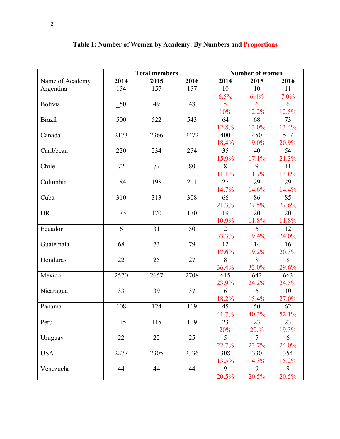|                 | <b>Total members</b> |      |      | <b>Number of women</b> |                |       |
|-----------------|----------------------|------|------|------------------------|----------------|-------|
| Name of Academy | 2014                 | 2015 | 2016 | 2014                   | 2015           | 2016  |
| Argentina       | 154                  | 157  | 157  | 10                     | 10             | 11    |
|                 |                      |      |      | 6.5%                   | 6.4%           | 7.0%  |
| <b>Bolivia</b>  | $-50$                | 49   | 48   | 5                      | 6              | 6     |
|                 |                      |      |      | 10%                    | 12.2%          | 12.5% |
| <b>Brazil</b>   | 500                  | 522  | 543  | 64                     | 68             | 73    |
|                 |                      |      |      | 12.8%                  | 13.0%          | 13.4% |
| Canada          | 2173                 | 2366 | 2472 | 400                    | 450            | 517   |
|                 |                      |      |      | 18.4%                  | 19.0%          | 20.9% |
| Caribbean       | 220                  | 234  | 254  | 35                     | 40             | 54    |
|                 |                      |      |      | 15.9%                  | 17.1%          | 21.3% |
| Chile           | 72                   | 77   | 80   | 8                      | 9              | 11    |
|                 |                      |      |      | 11.1%                  | 11.7%          | 13.8% |
| Columbia        | 184                  | 198  | 201  | 27                     | 29             | 29    |
|                 |                      |      |      | 14.7%                  | 14.6%          | 14.4% |
| Cuba            | 310                  | 313  | 308  | 66                     | 86             | 85    |
|                 |                      |      |      | 21.3%                  | 27.5%          | 27.6% |
| DR              | 175                  | 170  | 170  | 19                     | 20             | 20    |
|                 |                      |      |      | 10.9%                  | 11.8%          | 11.8% |
| Ecuador         | 6                    | 31   | 50   | $\overline{2}$         | 6              | 12    |
|                 |                      |      |      | 33.3%                  | 19.4%          | 24.0% |
| Guatemala       | 68                   | 73   | 79   | 12                     | 14             | 16    |
|                 |                      |      |      | 17.6%                  | 19.2%          | 20.3% |
| Honduras        | 22                   | 25   | 27   | 8                      | 8              | 8     |
|                 |                      |      |      | 36.4%                  | 32.0%          | 29.6% |
| Mexico          | 2570                 | 2657 | 2708 | 615                    | 642            | 663   |
|                 |                      |      |      | 23.9%                  | 24.2%          | 24.5% |
| Nicaragua       | 33                   | 39   | 37   | 6                      | 6              | 10    |
|                 |                      |      |      | 18.2%                  | 15.4%          | 27.0% |
| Panama          | 108                  | 124  | 119  | 45                     | 50             | 62    |
|                 |                      |      |      | 41.7%                  | 40.3%          | 52.1% |
| Peru            | 115                  | 115  | 119  | 23                     | 23             | 23    |
|                 |                      |      |      | 20%                    | 20.%           | 19.3% |
| Uruguay         | 22                   | 22   | 25   | $\overline{5}$         | $\overline{5}$ | 6     |
|                 |                      |      |      | 22.7%                  | 22.7%          | 24.0% |
| <b>USA</b>      | 2277                 | 2305 | 2336 | 308                    | 330            | 354   |
|                 |                      |      |      | 13.5%                  | 14.3%          | 15.2% |
| Venezuela       | 44                   | 44   | 44   | 9                      | 9              | 9     |
|                 |                      |      |      | 20.5%                  | 20.5%          | 20.5% |

# **Table 1: Number of Women by Academy: By Numbers and Proportions**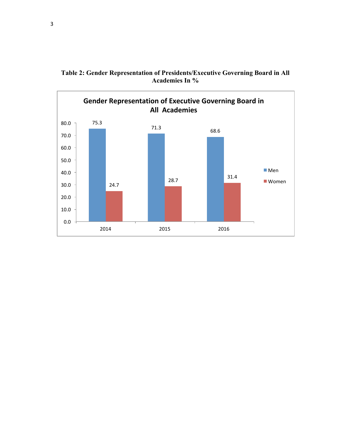

**Table 2: Gender Representation of Presidents/Executive Governing Board in All Academies In %**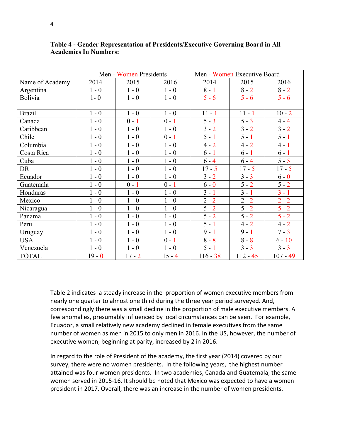|                 | Men - Women Presidents |          |          | Men - Women Executive Board |            |                    |  |
|-----------------|------------------------|----------|----------|-----------------------------|------------|--------------------|--|
| Name of Academy | 2014                   | 2015     | 2016     | 2014                        | 2015       | 2016               |  |
| Argentina       | $1 - 0$                | $1 - 0$  | $1 - 0$  | $8 - 1$                     | $8 - 2$    | $8 - 2$            |  |
| Bolivia         | $1 - 0$                | $1 - 0$  | $1 - 0$  | $5 - 6$                     | $5 - 6$    | $5 - 6$            |  |
|                 |                        |          |          |                             |            |                    |  |
| <b>Brazil</b>   | $1 - 0$                | $1 - 0$  | $1 - 0$  | $11 - 1$                    | $11 - 1$   | $10 - 2$           |  |
| Canada          | $1 - 0$                | $0 - 1$  | $0 - 1$  | $5 - 3$                     | $5 - 3$    | $4 - 4$            |  |
| Caribbean       | $1 - 0$                | $1 - 0$  | $1 - 0$  | $3 - 2$                     | $3 - 2$    | $3 - 2$            |  |
| Chile           | $1 - 0$                | $1 - 0$  | $0 - 1$  | $5 - 1$                     | $5 - 1$    | $5 - 1$            |  |
| Columbia        | $1 - 0$                | $1 - 0$  | $1 - 0$  | $4 - 2$                     | $4 - 2$    | $4 - 1$            |  |
| Costa Rica      | $1 - 0$                | $1 - 0$  | $1 - 0$  | $6 - 1$                     | $6 - 1$    | $6 - 1$            |  |
| Cuba            | $1 - 0$                | $1 - 0$  | $1 - 0$  | $6 - 4$                     | $6 - 4$    | $5 - 5$            |  |
| DR              | $1 - 0$                | $1 - 0$  | $1 - 0$  | $17 - 5$                    | $17 - 5$   | $17 - 5$           |  |
| Ecuador         | $1 - 0$                | $1 - 0$  | $1 - 0$  | $3 - 2$                     | $3 - 3$    | $6 - 0$            |  |
| Guatemala       | $1 - 0$                | $0 - 1$  | $0 - 1$  | $6 - 0$                     | $5 - 2$    | $5 - 2$            |  |
| Honduras        | $1 - 0$                | $1 - 0$  | $1 - 0$  | $3 - 1$                     | $3 - 1$    | $3 - 1$            |  |
| Mexico          | $1 - 0$                | $1 - 0$  | $1 - 0$  | $2 - 2$                     | $2 - 2$    | $2 - 2$            |  |
| Nicaragua       | $1 - 0$                | $1 - 0$  | $1 - 0$  | $5 - 2$                     | $5 - 2$    | $\overline{5}$ - 2 |  |
| Panama          | $1 - 0$                | $1 - 0$  | $1 - 0$  | $5 - 2$                     | $5 - 2$    | $5 - 2$            |  |
| Peru            | $1 - 0$                | $1 - 0$  | $1 - 0$  | $5 - 1$                     | $4 - 2$    | $4 - 2$            |  |
| Uruguay         | $1 - 0$                | $1 - 0$  | $1 - 0$  | $9 - 1$                     | $9 - 1$    | $7 - 3$            |  |
| <b>USA</b>      | $1 - 0$                | $1 - 0$  | $0 - 1$  | $8 - 8$                     | $8 - 8$    | $6 - 10$           |  |
| Venezuela       | $1 - 0$                | $1 - 0$  | $1 - 0$  | $5 - 1$                     | $3 - 3$    | $3 - 3$            |  |
| <b>TOTAL</b>    | $19 - 0$               | $17 - 2$ | $15 - 4$ | $116 - 38$                  | $112 - 45$ | $107 - 49$         |  |

**Table 4 - Gender Representation of Presidents/Executive Governing Board in All Academies In Numbers:**

Table 2 indicates a steady increase in the proportion of women executive members from nearly one quarter to almost one third during the three year period surveyed. And, correspondingly there was a small decline in the proportion of male executive members. A few anomalies, presumably influenced by local circumstances can be seen. For example, Ecuador, a small relatively new academy declined in female executives from the same number of women as men in 2015 to only men in 2016. In the US, however, the number of executive women, beginning at parity, increased by 2 in 2016.

In regard to the role of President of the academy, the first year (2014) covered by our survey, there were no women presidents. In the following years, the highest number attained was four women presidents. In two academies, Canada and Guatemala, the same women served in 2015-16. It should be noted that Mexico was expected to have a women president in 2017. Overall, there was an increase in the number of women presidents.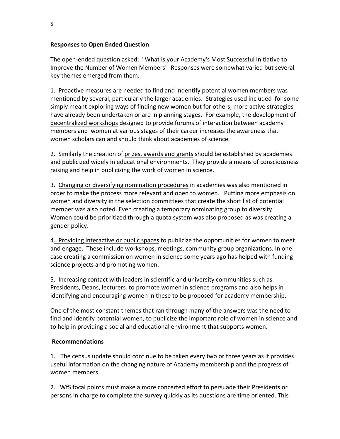## **Responses to Open Ended Question**

The open-ended question asked: "What is your Academy's Most Successful Initiative to Improve the Number of Women Members" Responses were somewhat varied but several key themes emerged from them.

1. Proactive measures are needed to find and indentify potential women members was mentioned by several, particularly the larger academies. Strategies used included for some simply meant exploring ways of finding new women but for others, more active strategies have already been undertaken or are in planning stages. For example, the development of decentralized workshops designed to provide forums of interaction between academy members and women at various stages of their career increases the awareness that women scholars can and should think about academies of science.

2. Similarly the creation of prizes, awards and grants should be established by academies and publicized widely in educational environments. They provide a means of consciousness raising and help in publicizing the work of women in science.

3. Changing or diversifying nomination procedures in academies was also mentioned in order to make the process more relevant and open to women. Putting more emphasis on women and diversity in the selection committees that create the short list of potential member was also noted. Even creating a temporary nominating group to diversity Women could be prioritized through a quota system was also proposed as was creating a gender policy.

4. Providing interactive or public spaces to publicize the opportunities for women to meet and engage. These include workshops, meetings, community group organizations. In one case creating a commission on women in science some years ago has helped with funding science projects and promoting women.

5. Increasing contact with leaders in scientific and university communities such as Presidents, Deans, lecturers to promote women in science programs and also helps in identifying and encouraging women in these to be proposed for academy membership.

One of the most constant themes that ran through many of the answers was the need to find and identify potential women, to publicize the important role of women in science and to help in providing a social and educational environment that supports women.

### **Recommendations**

1. The census update should continue to be taken every two or three years as it provides useful information on the changing nature of Academy membership and the progress of women members.

2. WfS focal points must make a more concerted effort to persuade their Presidents or persons in charge to complete the survey quickly as its questions are time oriented. This